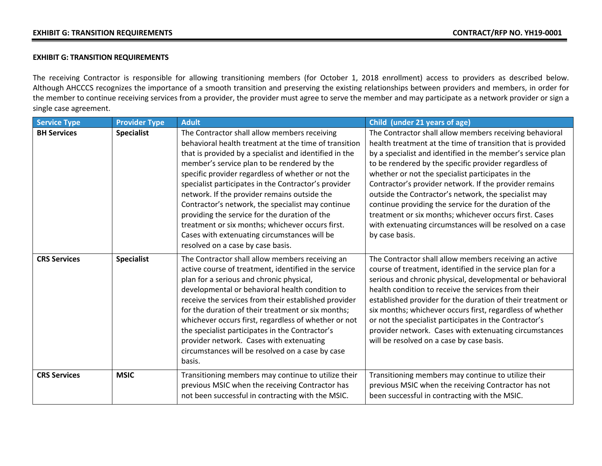## **EXHIBIT G: TRANSITION REQUIREMENTS**

The receiving Contractor is responsible for allowing transitioning members (for October 1, 2018 enrollment) access to providers as described below. Although AHCCCS recognizes the importance of a smooth transition and preserving the existing relationships between providers and members, in order for the member to continue receiving services from a provider, the provider must agree to serve the member and may participate as a network provider or sign a single case agreement.

| <b>Service Type</b> | <b>Provider Type</b> | <b>Adult</b>                                                                                                                                                                                                                                                                                                                                                                                                                                                                                                                                                                                                                | Child (under 21 years of age)                                                                                                                                                                                                                                                                                                                                                                                                                                                                                                                                                                                            |
|---------------------|----------------------|-----------------------------------------------------------------------------------------------------------------------------------------------------------------------------------------------------------------------------------------------------------------------------------------------------------------------------------------------------------------------------------------------------------------------------------------------------------------------------------------------------------------------------------------------------------------------------------------------------------------------------|--------------------------------------------------------------------------------------------------------------------------------------------------------------------------------------------------------------------------------------------------------------------------------------------------------------------------------------------------------------------------------------------------------------------------------------------------------------------------------------------------------------------------------------------------------------------------------------------------------------------------|
| <b>BH Services</b>  | <b>Specialist</b>    | The Contractor shall allow members receiving<br>behavioral health treatment at the time of transition<br>that is provided by a specialist and identified in the<br>member's service plan to be rendered by the<br>specific provider regardless of whether or not the<br>specialist participates in the Contractor's provider<br>network. If the provider remains outside the<br>Contractor's network, the specialist may continue<br>providing the service for the duration of the<br>treatment or six months; whichever occurs first.<br>Cases with extenuating circumstances will be<br>resolved on a case by case basis. | The Contractor shall allow members receiving behavioral<br>health treatment at the time of transition that is provided<br>by a specialist and identified in the member's service plan<br>to be rendered by the specific provider regardless of<br>whether or not the specialist participates in the<br>Contractor's provider network. If the provider remains<br>outside the Contractor's network, the specialist may<br>continue providing the service for the duration of the<br>treatment or six months; whichever occurs first. Cases<br>with extenuating circumstances will be resolved on a case<br>by case basis. |
| <b>CRS Services</b> | <b>Specialist</b>    | The Contractor shall allow members receiving an<br>active course of treatment, identified in the service<br>plan for a serious and chronic physical,<br>developmental or behavioral health condition to<br>receive the services from their established provider<br>for the duration of their treatment or six months;<br>whichever occurs first, regardless of whether or not<br>the specialist participates in the Contractor's<br>provider network. Cases with extenuating<br>circumstances will be resolved on a case by case<br>basis.                                                                                  | The Contractor shall allow members receiving an active<br>course of treatment, identified in the service plan for a<br>serious and chronic physical, developmental or behavioral<br>health condition to receive the services from their<br>established provider for the duration of their treatment or<br>six months; whichever occurs first, regardless of whether<br>or not the specialist participates in the Contractor's<br>provider network. Cases with extenuating circumstances<br>will be resolved on a case by case basis.                                                                                     |
| <b>CRS Services</b> | <b>MSIC</b>          | Transitioning members may continue to utilize their<br>previous MSIC when the receiving Contractor has<br>not been successful in contracting with the MSIC.                                                                                                                                                                                                                                                                                                                                                                                                                                                                 | Transitioning members may continue to utilize their<br>previous MSIC when the receiving Contractor has not<br>been successful in contracting with the MSIC.                                                                                                                                                                                                                                                                                                                                                                                                                                                              |